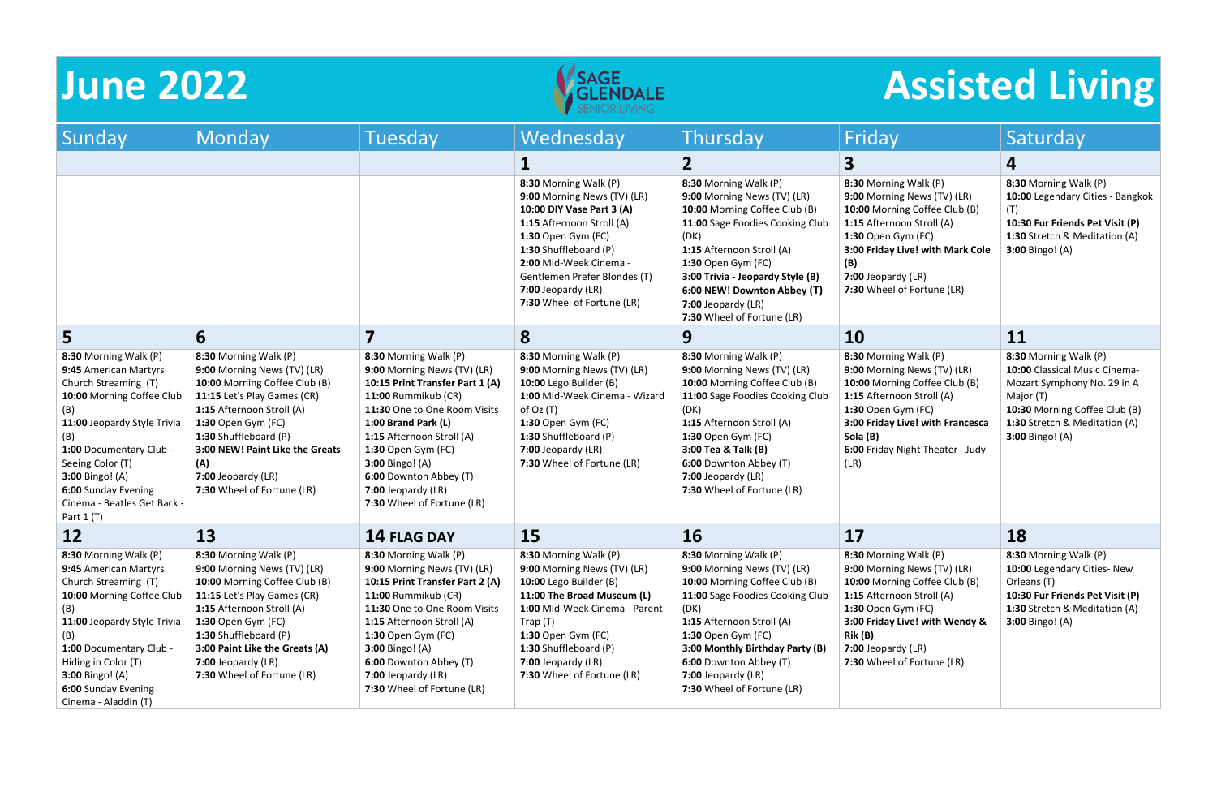



| Sunday                                                                                                                                                                                                                                                                                         | <b>Monday</b>                                                                                                                                                                                                                                                                                  | Tuesday                                                                                                                                                                                                                                                                                                                          | Wednesday                                                                                                                                                                                                                                                                     | Thursday                                                                                                                                                                                                                                                                                                   | Friday                                                                                                                                                                                                                                      | Saturday                                                                                                                                                                                       |
|------------------------------------------------------------------------------------------------------------------------------------------------------------------------------------------------------------------------------------------------------------------------------------------------|------------------------------------------------------------------------------------------------------------------------------------------------------------------------------------------------------------------------------------------------------------------------------------------------|----------------------------------------------------------------------------------------------------------------------------------------------------------------------------------------------------------------------------------------------------------------------------------------------------------------------------------|-------------------------------------------------------------------------------------------------------------------------------------------------------------------------------------------------------------------------------------------------------------------------------|------------------------------------------------------------------------------------------------------------------------------------------------------------------------------------------------------------------------------------------------------------------------------------------------------------|---------------------------------------------------------------------------------------------------------------------------------------------------------------------------------------------------------------------------------------------|------------------------------------------------------------------------------------------------------------------------------------------------------------------------------------------------|
|                                                                                                                                                                                                                                                                                                |                                                                                                                                                                                                                                                                                                |                                                                                                                                                                                                                                                                                                                                  |                                                                                                                                                                                                                                                                               | $\mathbf{2}$                                                                                                                                                                                                                                                                                               | 3                                                                                                                                                                                                                                           | 4                                                                                                                                                                                              |
|                                                                                                                                                                                                                                                                                                |                                                                                                                                                                                                                                                                                                |                                                                                                                                                                                                                                                                                                                                  | 8:30 Morning Walk (P)<br>9:00 Morning News (TV) (LR)<br>10:00 DIY Vase Part 3 (A)<br>1:15 Afternoon Stroll (A)<br>1:30 Open Gym (FC)<br>1:30 Shuffleboard (P)<br>2:00 Mid-Week Cinema -<br>Gentlemen Prefer Blondes (T)<br>$7:00$ Jeopardy (LR)<br>7:30 Wheel of Fortune (LR) | 8:30 Morning Walk (P)<br>9:00 Morning News (TV) (LR)<br>10:00 Morning Coffee Club (B)<br>11:00 Sage Foodies Cooking Club<br>(DK)<br>1:15 Afternoon Stroll (A)<br>1:30 Open Gym (FC)<br>3:00 Trivia - Jeopardy Style (B)<br>6:00 NEW! Downton Abbey (T)<br>7:00 Jeopardy (LR)<br>7:30 Wheel of Fortune (LR) | 8:30 Morning Walk (P)<br>9:00 Morning News (TV) (LR)<br>10:00 Morning Coffee Club (B)<br>1:15 Afternoon Stroll (A)<br>1:30 Open Gym (FC)<br>3:00 Friday Live! with Mark Cole<br>(B)<br>7:00 Jeopardy (LR)<br>7:30 Wheel of Fortune (LR)     | 8:30 Morning Walk (P)<br>10:00 Legendary Cities - Bangkok<br>(T)<br>10:30 Fur Friends Pet Visit (P)<br>1:30 Stretch & Meditation (A)<br><b>3:00 Bingo!</b> (A)                                 |
| 5                                                                                                                                                                                                                                                                                              | 6                                                                                                                                                                                                                                                                                              |                                                                                                                                                                                                                                                                                                                                  | 8                                                                                                                                                                                                                                                                             | 9                                                                                                                                                                                                                                                                                                          | <b>10</b>                                                                                                                                                                                                                                   | 11                                                                                                                                                                                             |
| 8:30 Morning Walk (P)<br>9:45 American Martyrs<br>Church Streaming (T)<br>10:00 Morning Coffee Club<br>(B)<br>11:00 Jeopardy Style Trivia<br>(B)<br>1:00 Documentary Club -<br>Seeing Color (T)<br><b>3:00 Bingo!</b> (A)<br>6:00 Sunday Evening<br>Cinema - Beatles Get Back -<br>Part $1(T)$ | 8:30 Morning Walk (P)<br>9:00 Morning News (TV) (LR)<br>10:00 Morning Coffee Club (B)<br>11:15 Let's Play Games (CR)<br>1:15 Afternoon Stroll (A)<br>1:30 Open Gym (FC)<br>1:30 Shuffleboard (P)<br>3:00 NEW! Paint Like the Greats<br>(A)<br>7:00 Jeopardy (LR)<br>7:30 Wheel of Fortune (LR) | 8:30 Morning Walk (P)<br>9:00 Morning News (TV) (LR)<br>10:15 Print Transfer Part 1 (A)<br>11:00 Rummikub (CR)<br>11:30 One to One Room Visits<br>1:00 Brand Park (L)<br>1:15 Afternoon Stroll (A)<br>1:30 Open Gym (FC)<br><b>3:00 Bingo!</b> (A)<br>6:00 Downton Abbey (T)<br>7:00 Jeopardy (LR)<br>7:30 Wheel of Fortune (LR) | 8:30 Morning Walk (P)<br>9:00 Morning News (TV) (LR)<br>10:00 Lego Builder (B)<br>1:00 Mid-Week Cinema - Wizard<br>of $Oz(T)$<br>1:30 Open Gym (FC)<br>1:30 Shuffleboard (P)<br>7:00 Jeopardy (LR)<br>7:30 Wheel of Fortune (LR)                                              | 8:30 Morning Walk (P)<br>9:00 Morning News (TV) (LR)<br>10:00 Morning Coffee Club (B)<br>11:00 Sage Foodies Cooking Club<br>(DK)<br>1:15 Afternoon Stroll (A)<br>1:30 Open Gym (FC)<br>3:00 Tea & Talk (B)<br>6:00 Downton Abbey (T)<br>7:00 Jeopardy (LR)<br>7:30 Wheel of Fortune (LR)                   | 8:30 Morning Walk (P)<br>9:00 Morning News (TV) (LR)<br>10:00 Morning Coffee Club (B)<br>1:15 Afternoon Stroll (A)<br>1:30 Open Gym (FC)<br>3:00 Friday Live! with Francesca<br>Sola (B)<br>6:00 Friday Night Theater - Judy<br>(LR)        | 8:30 Morning Walk (P)<br>10:00 Classical Music Cinema-<br>Mozart Symphony No. 29 in A<br>Major (T)<br>10:30 Morning Coffee Club (B)<br>1:30 Stretch & Meditation (A)<br><b>3:00 Bingo!</b> (A) |
| 12                                                                                                                                                                                                                                                                                             | 13                                                                                                                                                                                                                                                                                             | <b>14 FLAG DAY</b>                                                                                                                                                                                                                                                                                                               | 15                                                                                                                                                                                                                                                                            | 16                                                                                                                                                                                                                                                                                                         | 17                                                                                                                                                                                                                                          | 18                                                                                                                                                                                             |
| 8:30 Morning Walk (P)<br>9:45 American Martyrs<br>Church Streaming (T)<br>10:00 Morning Coffee Club<br>(B)<br>11:00 Jeopardy Style Trivia<br>(B)<br>1:00 Documentary Club -<br>Hiding in Color (T)<br>3:00 Bingo! (A)<br>6:00 Sunday Evening<br>Cinema - Aladdin (T)                           | 8:30 Morning Walk (P)<br>9:00 Morning News (TV) (LR)<br>10:00 Morning Coffee Club (B)<br>11:15 Let's Play Games (CR)<br>1:15 Afternoon Stroll (A)<br>1:30 Open Gym (FC)<br>1:30 Shuffleboard (P)<br>3:00 Paint Like the Greats (A)<br>7:00 Jeopardy (LR)<br>7:30 Wheel of Fortune (LR)         | 8:30 Morning Walk (P)<br>9:00 Morning News (TV) (LR)<br>10:15 Print Transfer Part 2 (A)<br>11:00 Rummikub (CR)<br>11:30 One to One Room Visits<br>1:15 Afternoon Stroll (A)<br>1:30 Open Gym (FC)<br><b>3:00 Bingo!</b> (A)<br>6:00 Downton Abbey (T)<br>7:00 Jeopardy (LR)<br>7:30 Wheel of Fortune (LR)                        | 8:30 Morning Walk (P)<br>9:00 Morning News (TV) (LR)<br>10:00 Lego Builder (B)<br>11:00 The Broad Museum (L)<br>1:00 Mid-Week Cinema - Parent<br>Trap (T)<br><b>1:30 Open Gym (FC)</b><br>1:30 Shuffleboard (P)<br>$7:00$ Jeopardy (LR)<br>7:30 Wheel of Fortune (LR)         | 8:30 Morning Walk (P)<br>9:00 Morning News (TV) (LR)<br>10:00 Morning Coffee Club (B)<br>11:00 Sage Foodies Cooking Club<br>(DK)<br>1:15 Afternoon Stroll (A)<br>1:30 Open Gym (FC)<br>3:00 Monthly Birthday Party (B)<br>6:00 Downton Abbey (T)<br>7:00 Jeopardy (LR)<br>7:30 Wheel of Fortune (LR)       | 8:30 Morning Walk (P)<br>9:00 Morning News (TV) (LR)<br>10:00 Morning Coffee Club (B)<br>1:15 Afternoon Stroll (A)<br>1:30 Open Gym (FC)<br>3:00 Friday Live! with Wendy &<br>Rik (B)<br>$7:00$ Jeopardy (LR)<br>7:30 Wheel of Fortune (LR) | 8:30 Morning Walk (P)<br>10:00 Legendary Cities- New<br>Orleans (T)<br>10:30 Fur Friends Pet Visit (P)<br>1:30 Stretch & Meditation (A)<br><b>3:00 Bingo!</b> (A)                              |

# **June 2022 Assisted Living**